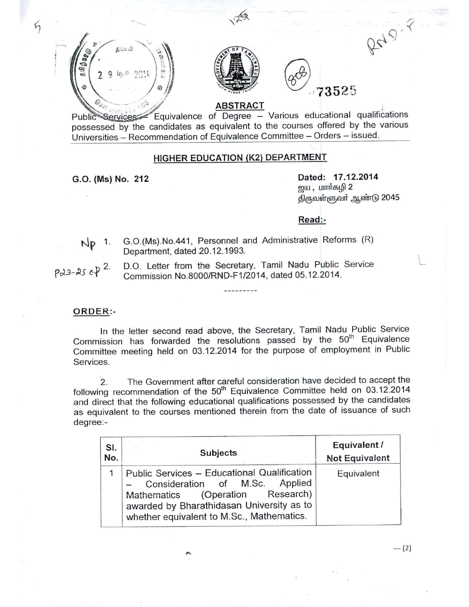

possessed by the candidates as equivalent to the courses offered by the various Universities - Recommendation of Equivalence Committee - Orders - issued.

## HIGHER EDUCATION (K2) DEPARTMENT

 $5$ 

G.O. (Ms) No. 212 **Dated: 17.12.2014** <u>ஜ</u>ய , மார்கழி 2 திருவள்ளுவா் ஆண்டு 2045

## Read:-

Np 1. G.0.(Ms).No.441, Personnel and Administrative Reforms (R) Department, dated 20.12.1993.

D.O. Letter from the Secretary, Tamil Nadu Public Service  $Pd3-25eV^{2}$ Commission NO.8000/RND-F1/2014, dated 05.12.2014.

## ORDER:-

In the letter second read above, the Secretary, Tamil Nadu Public Service Commission has forwarded the resolutions passed by the 50<sup>th</sup> Equivalence Committee meeting held on 03.12.2014 for the purpose of employment in Public Services.

2. The Government after careful consideration have decided to accept the following recommendation of the  $50<sup>th</sup>$  Equivalence Committee held on 03.12.2014 and direct that the following educational qualifications possessed by the candidates as equivalent to the courses mentioned therein from the date of issuance of such degree:-

| SI.<br>No. | <b>Subjects</b>                                                                                                                                                                                             | Equivalent /<br><b>Not Equivalent</b> |
|------------|-------------------------------------------------------------------------------------------------------------------------------------------------------------------------------------------------------------|---------------------------------------|
|            | Public Services - Educational Qualification<br>Consideration of M.Sc. Applied<br>Mathematics (Operation Research)<br>awarded by Bharathidasan University as to<br>whether equivalent to M.Sc., Mathematics. | Equivalent                            |

--- (2)